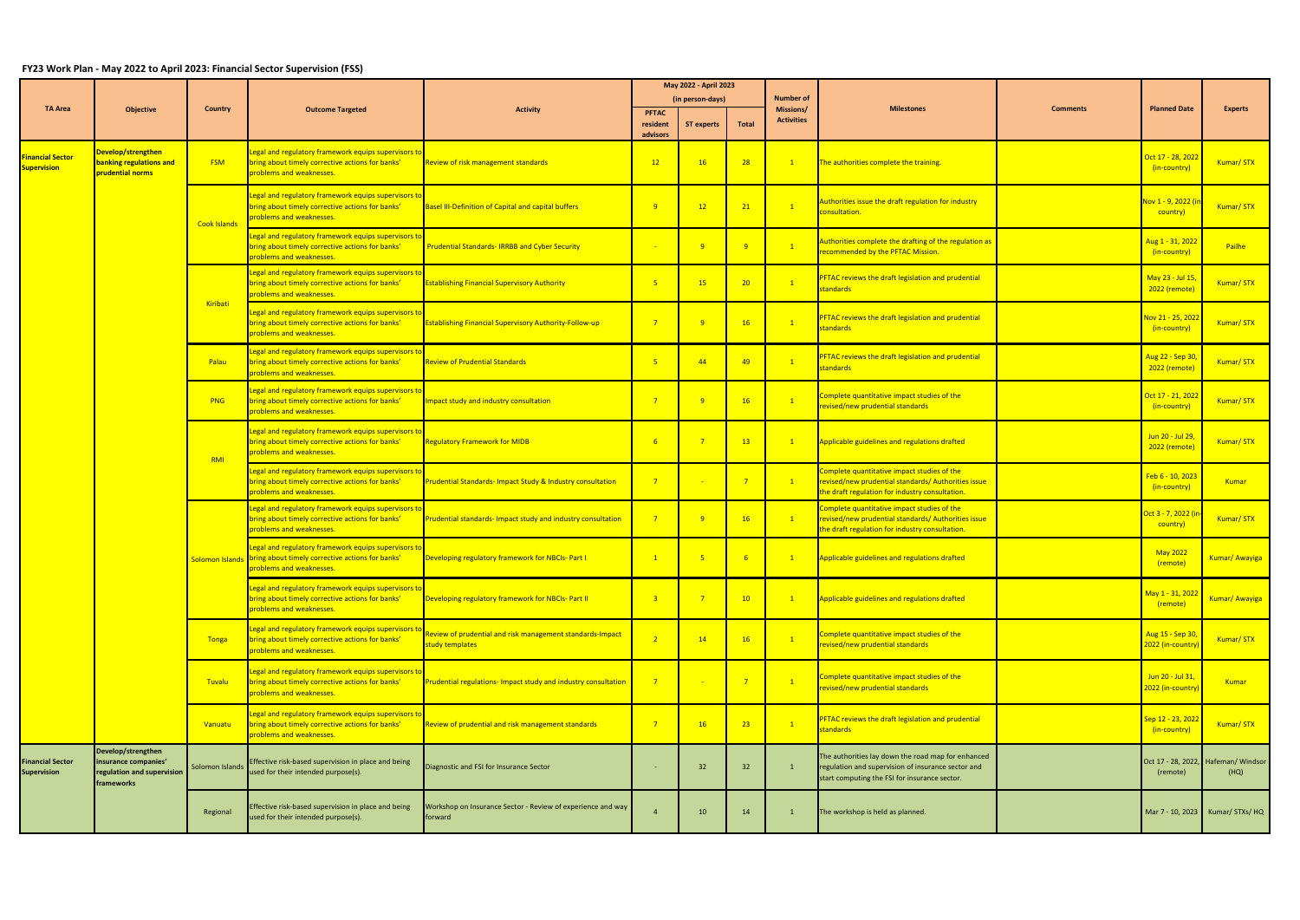## **FY23 Work Plan - May 2022 to April 2023: Financial Sector Supervision (FSS)**

|                                               |                                                                                        |                     |                                                                                                                                                      |                                                                              | May 2022 - April 2023 |                   |                |                                |                                                                                                                                                           |                 |                                             |                                             |
|-----------------------------------------------|----------------------------------------------------------------------------------------|---------------------|------------------------------------------------------------------------------------------------------------------------------------------------------|------------------------------------------------------------------------------|-----------------------|-------------------|----------------|--------------------------------|-----------------------------------------------------------------------------------------------------------------------------------------------------------|-----------------|---------------------------------------------|---------------------------------------------|
|                                               | <b>TA Area</b><br>Objective                                                            | Country             | <b>Outcome Targeted</b>                                                                                                                              | <b>Activity</b>                                                              | (in person-days)      |                   |                | Number of                      |                                                                                                                                                           |                 |                                             |                                             |
|                                               |                                                                                        |                     |                                                                                                                                                      |                                                                              | <b>PFTAC</b>          |                   |                | Missions/<br><b>Activities</b> | <b>Milestones</b>                                                                                                                                         | <b>Comments</b> | <b>Planned Date</b>                         | <b>Experts</b>                              |
|                                               |                                                                                        |                     |                                                                                                                                                      |                                                                              | resident<br>advisors  | <b>ST experts</b> | <b>Total</b>   |                                |                                                                                                                                                           |                 |                                             |                                             |
| <b>inancial Sector</b><br><b>Supervision</b>  | Develop/strengthen<br><b>banking regulations and</b><br>prudential norms               | <b>FSM</b>          | Legal and regulatory framework equips supervisors to<br>bring about timely corrective actions for banks'<br>problems and weaknesses.                 | Review of risk management standards                                          | 12                    | 16                | 28             | $\mathbf{1}$                   | The authorities complete the training.                                                                                                                    |                 | Oct 17 - 28, 202<br>(in-country)            | Kumar/STX                                   |
|                                               |                                                                                        | <b>Cook Islands</b> | Legal and regulatory framework equips supervisors to<br>bring about timely corrective actions for banks'<br>problems and weaknesses.                 | Basel III-Definition of Capital and capital buffers                          | 9                     | 12                | 21             | $\mathbf{1}$                   | Authorities issue the draft regulation for industry<br>consultation.                                                                                      |                 | Nov 1 - 9, 2022<br>country)                 | Kumar/STX                                   |
|                                               |                                                                                        |                     | Legal and regulatory framework equips supervisors to<br>bring about timely corrective actions for banks'<br>problems and weaknesses.                 | Prudential Standards-IRRBB and Cyber Security                                |                       | 9                 | - 9            | $\boxed{1}$                    | Authorities complete the drafting of the regulation as<br>recommended by the PFTAC Mission.                                                               |                 | Aug 1 - 31, 2022<br>(in-country)            | Pailhe                                      |
|                                               |                                                                                        |                     | Legal and regulatory framework equips supervisors to<br>bring about timely corrective actions for banks'<br>problems and weaknesses.                 | <b>Establishing Financial Supervisory Authority</b>                          | 5 <sub>1</sub>        | 15                | 20             | $\boxed{1}$                    | PFTAC reviews the draft legislation and prudential<br>standards                                                                                           |                 | May 23 - Jul 15<br>2022 (remote)            | Kumar/STX                                   |
|                                               |                                                                                        | Kiribati            | Legal and regulatory framework equips supervisors to<br>bring about timely corrective actions for banks'<br>problems and weaknesses.                 | <b>Establishing Financial Supervisory Authority-Follow-up</b>                | $\overline{7}$        | - 9               | 16             | $\overline{1}$                 | <b>PFTAC reviews the draft legislation and prudential</b><br>standards                                                                                    |                 | Nov 21 - 25, 202<br>(in-country)            | Kumar/STX                                   |
|                                               |                                                                                        | Palau               | Legal and regulatory framework equips supervisors to<br>bring about timely corrective actions for banks'<br>problems and weaknesses.                 | <b>Review of Prudential Standards</b>                                        | 5 <sub>o</sub>        | 44                | 49             | $\boxed{1}$                    | <b>PFTAC reviews the draft legislation and prudential</b><br>standards                                                                                    |                 | Aug 22 - Sep 30<br>2022 (remote)            | Kumar/STX                                   |
|                                               |                                                                                        | <b>PNG</b>          | Legal and regulatory framework equips supervisors to<br>bring about timely corrective actions for banks'<br>problems and weaknesses.                 | mpact study and industry consultation                                        | $\overline{7}$        | $-9$              | 16             | $\boxed{1}$                    | Complete quantitative impact studies of the<br>revised/new prudential standards                                                                           |                 | Oct 17 - 21, 202<br>(in-country)            | Kumar/STX                                   |
|                                               |                                                                                        | RMI                 | Legal and regulatory framework equips supervisors to<br>bring about timely corrective actions for banks'<br>problems and weaknesses.                 | Regulatory Framework for MIDB                                                | 6 <sup>°</sup>        |                   | 13             | $\vert 1 \vert$                | Applicable guidelines and regulations drafted                                                                                                             |                 | Jun 20 - Jul 29,<br>2022 (remote)           | Kumar/STX                                   |
|                                               |                                                                                        |                     | Legal and regulatory framework equips supervisors to<br>bring about timely corrective actions for banks'<br>problems and weaknesses.                 | <b>Prudential Standards- Impact Study &amp; Industry consultation</b>        | $\overline{7}$        |                   | $\overline{7}$ | $\sqrt{1}$                     | Complete quantitative impact studies of the<br>revised/new prudential standards/ Authorities issue<br>the draft regulation for industry consultation.     |                 | Feb 6 - 10, 2023<br>(in-country)            | <b>Kumar</b>                                |
|                                               |                                                                                        |                     | Legal and regulatory framework equips supervisors to<br>bring about timely corrective actions for banks'<br>problems and weaknesses.                 | Prudential standards- Impact study and industry consultation                 | 7 <sup>7</sup>        | 9                 | 16             | $\boxed{1}$                    | Complete quantitative impact studies of the<br>revised/new prudential standards/ Authorities issue<br>the draft regulation for industry consultation.     |                 | <mark>Oct 3 - 7, 2022 (i</mark><br>country) | Kumar/STX                                   |
|                                               |                                                                                        |                     | Legal and regulatory framework equips supervisors to<br>Solomon Islands bring about timely corrective actions for banks'<br>problems and weaknesses. | Developing regulatory framework for NBCIs- Part I                            | $\mathbf{1}$          |                   | -6             | $\sqrt{1}$                     | Applicable guidelines and regulations drafted                                                                                                             |                 | <b>May 2022</b><br>(remote)                 | Kumar/ Awayiga                              |
| <b>Financial Sector</b><br><b>Supervision</b> |                                                                                        |                     | Legal and regulatory framework equips supervisors to<br>bring about timely corrective actions for banks'<br>problems and weaknesses.                 | Developing regulatory framework for NBCIs- Part II                           | 3 <sup>°</sup>        | $\overline{7}$    | 10             | $\mathbf{1}$                   | Applicable guidelines and regulations drafted                                                                                                             |                 | May 1 - 31, 202<br>(remote)                 | Kumar/ Awayiga                              |
|                                               |                                                                                        | Tonga               | Legal and regulatory framework equips supervisors t<br>bring about timely corrective actions for banks'<br>problems and weaknesses.                  | Review of prudential and risk management standards-Impact<br>study templates | $\overline{2}$        | 14                | 16             | $\mathbf{1}$                   | Complete quantitative impact studies of the<br>revised/new prudential standards                                                                           |                 | Aug 15 - Sep 30<br>2022 (in-country         | Kumar/STX                                   |
|                                               |                                                                                        | <b>Tuvalu</b>       | Legal and regulatory framework equips supervisors to<br>bring about timely corrective actions for banks'<br>problems and weaknesses.                 | Prudential regulations- Impact study and industry consultation               | $\overline{7}$        |                   | $\overline{7}$ | $\mathbf{1}$                   | Complete quantitative impact studies of the<br>revised/new prudential standards                                                                           |                 | Jun 20 - Jul 31,<br>2022 (in-country        | <b>Kumar</b>                                |
|                                               |                                                                                        | Vanuatu             | Legal and regulatory framework equips supervisors to<br>bring about timely corrective actions for banks'<br>problems and weaknesses.                 | Review of prudential and risk management standards                           | $\overline{7}$        | 16                | 23             | $\overline{1}$                 | PFTAC reviews the draft legislation and prudential<br>standards                                                                                           |                 | Sep 12 - 23, 202<br>(in-country)            | Kumar/STX                                   |
|                                               | Develop/strengthen<br>insurance companies'<br>regulation and supervision<br>frameworks | Solomon Islands     | Effective risk-based supervision in place and being<br>used for their intended purpose(s).                                                           | Diagnostic and FSI for Insurance Sector                                      |                       | 32                | 32             | $\mathbf{1}$                   | The authorities lay down the road map for enhanced<br>regulation and supervision of insurance sector and<br>start computing the FSI for insurance sector. |                 | (remote)                                    | Oct 17 - 28, 2022, Hafeman/ Windsor<br>(HQ) |
|                                               |                                                                                        | Regional            | Effective risk-based supervision in place and being<br>used for their intended purpose(s).                                                           | Workshop on Insurance Sector - Review of experience and way<br>forward       |                       | 10                | 14             | $\mathbf{1}$                   | The workshop is held as planned.                                                                                                                          |                 |                                             | Mar 7 - 10, 2023 Kumar/ STXs/ HQ            |